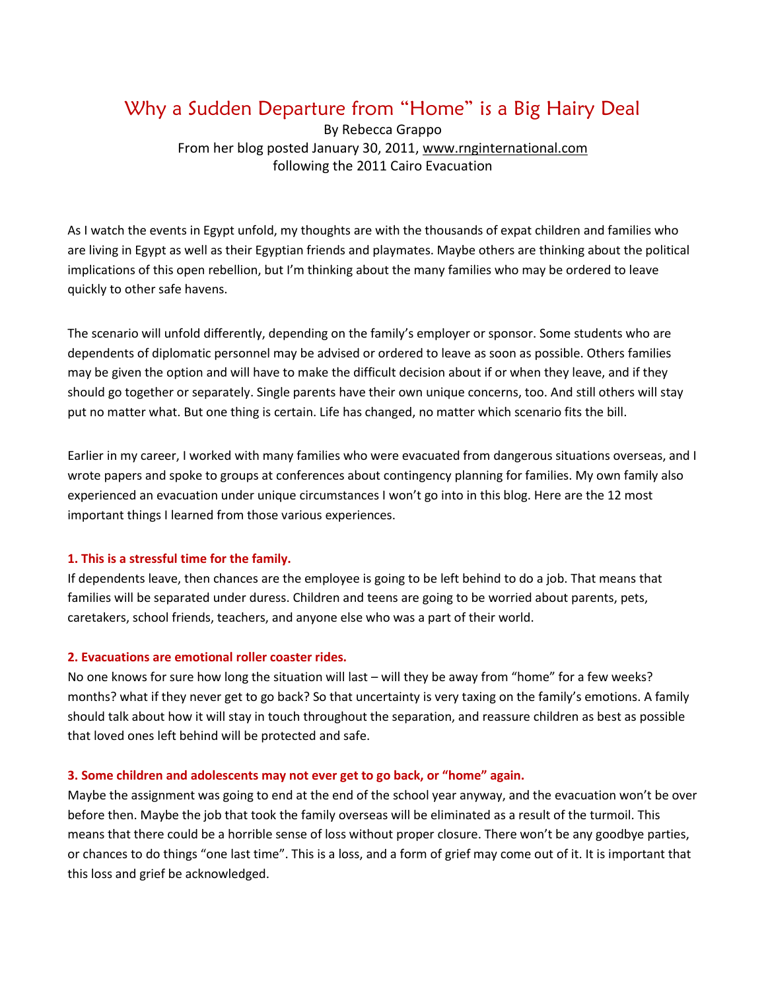# Why a Sudden Departure from "Home" is a Big Hairy Deal

By Rebecca Grappo From her blog posted January 30, 2011, [www.rnginternational.com](http://www.rnginternational.com/) following the 2011 Cairo Evacuation

As I watch the events in Egypt unfold, my thoughts are with the thousands of expat children and families who are living in Egypt as well as their Egyptian friends and playmates. Maybe others are thinking about the political implications of this open rebellion, but I'm thinking about the many families who may be ordered to leave quickly to other safe havens.

The scenario will unfold differently, depending on the family's employer or sponsor. Some students who are dependents of diplomatic personnel may be advised or ordered to leave as soon as possible. Others families may be given the option and will have to make the difficult decision about if or when they leave, and if they should go together or separately. Single parents have their own unique concerns, too. And still others will stay put no matter what. But one thing is certain. Life has changed, no matter which scenario fits the bill.

Earlier in my career, I worked with many families who were evacuated from dangerous situations overseas, and I wrote papers and spoke to groups at conferences about contingency planning for families. My own family also experienced an evacuation under unique circumstances I won't go into in this blog. Here are the 12 most important things I learned from those various experiences.

# **1. This is a stressful time for the family.**

If dependents leave, then chances are the employee is going to be left behind to do a job. That means that families will be separated under duress. Children and teens are going to be worried about parents, pets, caretakers, school friends, teachers, and anyone else who was a part of their world.

# **2. Evacuations are emotional roller coaster rides.**

No one knows for sure how long the situation will last – will they be away from "home" for a few weeks? months? what if they never get to go back? So that uncertainty is very taxing on the family's emotions. A family should talk about how it will stay in touch throughout the separation, and reassure children as best as possible that loved ones left behind will be protected and safe.

# **3. Some children and adolescents may not ever get to go back, or "home" again.**

Maybe the assignment was going to end at the end of the school year anyway, and the evacuation won't be over before then. Maybe the job that took the family overseas will be eliminated as a result of the turmoil. This means that there could be a horrible sense of loss without proper closure. There won't be any goodbye parties, or chances to do things "one last time". This is a loss, and a form of grief may come out of it. It is important that this loss and grief be acknowledged.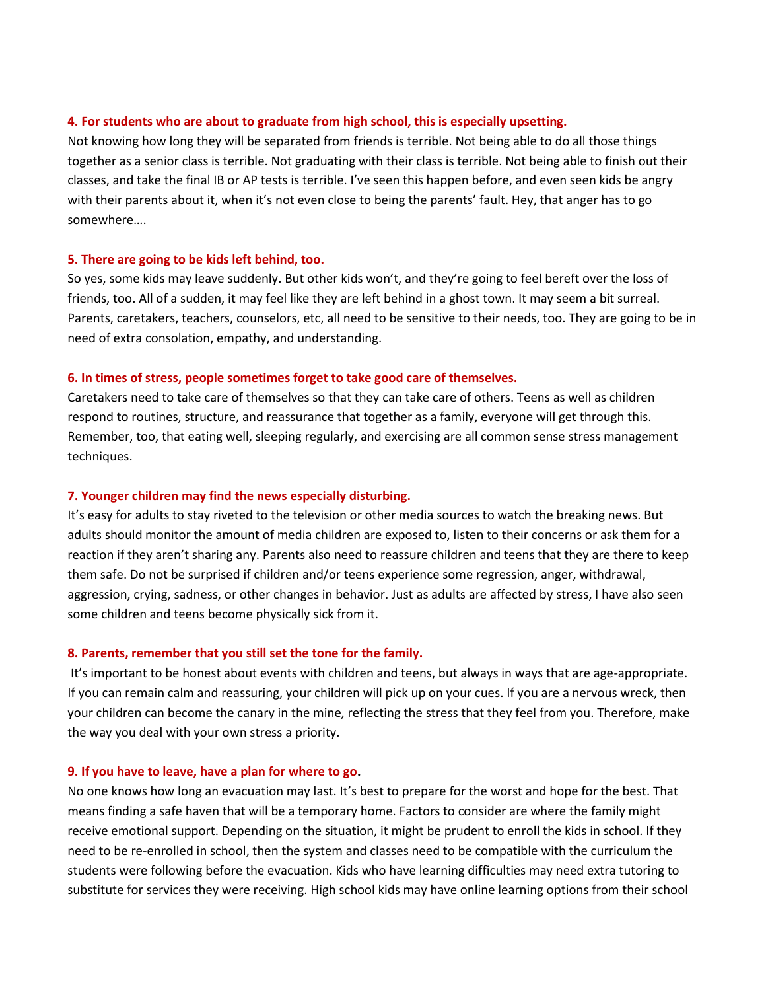### **4. For students who are about to graduate from high school, this is especially upsetting.**

Not knowing how long they will be separated from friends is terrible. Not being able to do all those things together as a senior class is terrible. Not graduating with their class is terrible. Not being able to finish out their classes, and take the final IB or AP tests is terrible. I've seen this happen before, and even seen kids be angry with their parents about it, when it's not even close to being the parents' fault. Hey, that anger has to go somewhere….

#### **5. There are going to be kids left behind, too.**

So yes, some kids may leave suddenly. But other kids won't, and they're going to feel bereft over the loss of friends, too. All of a sudden, it may feel like they are left behind in a ghost town. It may seem a bit surreal. Parents, caretakers, teachers, counselors, etc, all need to be sensitive to their needs, too. They are going to be in need of extra consolation, empathy, and understanding.

### **6. In times of stress, people sometimes forget to take good care of themselves.**

Caretakers need to take care of themselves so that they can take care of others. Teens as well as children respond to routines, structure, and reassurance that together as a family, everyone will get through this. Remember, too, that eating well, sleeping regularly, and exercising are all common sense stress management techniques.

### **7. Younger children may find the news especially disturbing.**

It's easy for adults to stay riveted to the television or other media sources to watch the breaking news. But adults should monitor the amount of media children are exposed to, listen to their concerns or ask them for a reaction if they aren't sharing any. Parents also need to reassure children and teens that they are there to keep them safe. Do not be surprised if children and/or teens experience some regression, anger, withdrawal, aggression, crying, sadness, or other changes in behavior. Just as adults are affected by stress, I have also seen some children and teens become physically sick from it.

#### **8. Parents, remember that you still set the tone for the family.**

It's important to be honest about events with children and teens, but always in ways that are age-appropriate. If you can remain calm and reassuring, your children will pick up on your cues. If you are a nervous wreck, then your children can become the canary in the mine, reflecting the stress that they feel from you. Therefore, make the way you deal with your own stress a priority.

#### **9. If you have to leave, have a plan for where to go.**

No one knows how long an evacuation may last. It's best to prepare for the worst and hope for the best. That means finding a safe haven that will be a temporary home. Factors to consider are where the family might receive emotional support. Depending on the situation, it might be prudent to enroll the kids in school. If they need to be re-enrolled in school, then the system and classes need to be compatible with the curriculum the students were following before the evacuation. Kids who have learning difficulties may need extra tutoring to substitute for services they were receiving. High school kids may have online learning options from their school